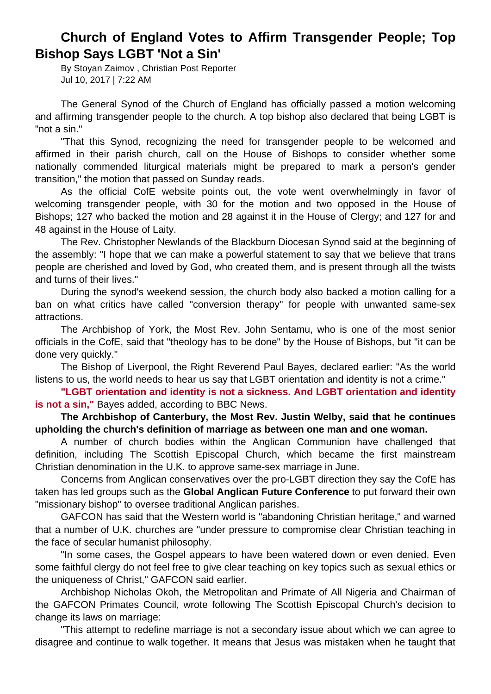## **Church of England Votes to Affirm Transgender People; Top Bishop Says LGBT 'Not a Sin'**

By Stoyan Zaimov , Christian Post Reporter Jul 10, 2017 | 7:22 AM

The General Synod of the Church of England has officially passed a motion welcoming and affirming transgender people to the church. A top bishop also declared that being LGBT is "not a sin."

"That this Synod, recognizing the need for transgender people to be welcomed and affirmed in their parish church, call on the House of Bishops to consider whether some nationally commended liturgical materials might be prepared to mark a person's gender transition," the motion that passed on Sunday reads.

As the official CofE website points out, the vote went overwhelmingly in favor of welcoming transgender people, with 30 for the motion and two opposed in the House of Bishops; 127 who backed the motion and 28 against it in the House of Clergy; and 127 for and 48 against in the House of Laity.

The Rev. Christopher Newlands of the Blackburn Diocesan Synod said at the beginning of the assembly: "I hope that we can make a powerful statement to say that we believe that trans people are cherished and loved by God, who created them, and is present through all the twists and turns of their lives."

During the synod's weekend session, the church body also backed a motion calling for a ban on what critics have called "conversion therapy" for people with unwanted same-sex attractions.

The Archbishop of York, the Most Rev. John Sentamu, who is one of the most senior officials in the CofE, said that "theology has to be done" by the House of Bishops, but "it can be done very quickly."

The Bishop of Liverpool, the Right Reverend Paul Bayes, declared earlier: "As the world listens to us, the world needs to hear us say that LGBT orientation and identity is not a crime."

**"LGBT orientation and identity is not a sickness. And LGBT orientation and identity is not a sin,"** Bayes added, according to BBC News.

**The Archbishop of Canterbury, the Most Rev. Justin Welby, said that he continues upholding the church's definition of marriage as between one man and one woman.** 

A number of church bodies within the Anglican Communion have challenged that definition, including The Scottish Episcopal Church, which became the first mainstream Christian denomination in the U.K. to approve same-sex marriage in June.

Concerns from Anglican conservatives over the pro-LGBT direction they say the CofE has taken has led groups such as the **Global Anglican Future Conference** to put forward their own "missionary bishop" to oversee traditional Anglican parishes.

GAFCON has said that the Western world is "abandoning Christian heritage," and warned that a number of U.K. churches are "under pressure to compromise clear Christian teaching in the face of secular humanist philosophy.

"In some cases, the Gospel appears to have been watered down or even denied. Even some faithful clergy do not feel free to give clear teaching on key topics such as sexual ethics or the uniqueness of Christ," GAFCON said earlier.

Archbishop Nicholas Okoh, the Metropolitan and Primate of All Nigeria and Chairman of the GAFCON Primates Council, wrote following The Scottish Episcopal Church's decision to change its laws on marriage:

"This attempt to redefine marriage is not a secondary issue about which we can agree to disagree and continue to walk together. It means that Jesus was mistaken when he taught that